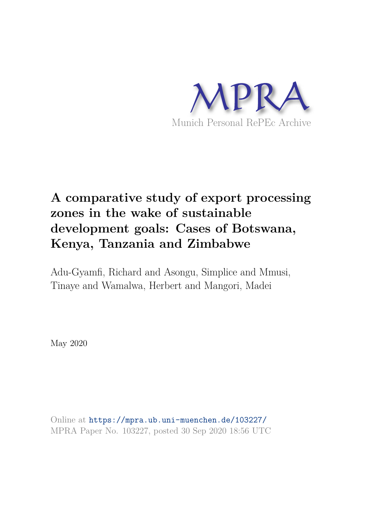

## **A comparative study of export processing zones in the wake of sustainable development goals: Cases of Botswana, Kenya, Tanzania and Zimbabwe**

Adu-Gyamfi, Richard and Asongu, Simplice and Mmusi, Tinaye and Wamalwa, Herbert and Mangori, Madei

May 2020

Online at https://mpra.ub.uni-muenchen.de/103227/ MPRA Paper No. 103227, posted 30 Sep 2020 18:56 UTC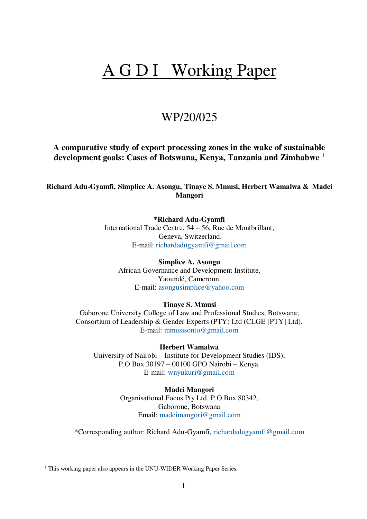# A G D I Working Paper

### WP/20/025

**A comparative study of export processing zones in the wake of sustainable development goals: Cases of Botswana, Kenya, Tanzania and Zimbabwe** <sup>1</sup>

**Richard Adu-Gyamfi, Simplice A. Asongu, Tinaye S. Mmusi, Herbert Wamalwa & Madei Mangori** 

#### **\*Richard Adu-Gyamfi**

International Trade Centre, 54 – 56, Rue de Montbrillant, Geneva, Switzerland. E-mail: [richardadugyamfi@gmail.com](mailto:richardadugyamfi@gmail.com)

**Simplice A. Asongu** African Governance and Development Institute, Yaoundé, Cameroun. E-mail: [asongusimplice@yahoo.com](mailto:asongusimplice@yahoo.com)

#### **Tinaye S. Mmusi**

Gaborone University College of Law and Professional Studies, Botswana; Consortium of Leadership & Gender Experts (PTY) Ltd (CLGE [PTY] Ltd). E-mail: [mmusisonto@gmail.com](mailto:mmusisonto@gmail.com)

#### **Herbert Wamalwa**

University of Nairobi – Institute for Development Studies (IDS), P.O Box 30197 – 00100 GPO Nairobi – Kenya. E-mail: [wnyukuri@gmail.com](mailto:wnyukuri@gmail.com)

## **Madei Mangori**

Organisational Focus Pty Ltd, P.O.Box 80342, Gaborone, Botswana Email: [madeimangori@gmail.com](mailto:madeimangori@gmail.com)

\*Corresponding author: Richard Adu-Gyamfi, [richardadugyamfi@gmail.com](mailto:richardadugyamfi@gmail.com) 

-

<sup>&</sup>lt;sup>1</sup> This working paper also appears in the UNU-WIDER Working Paper Series.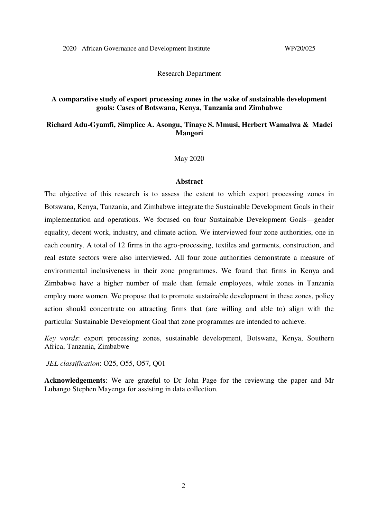Research Department

#### **A comparative study of export processing zones in the wake of sustainable development goals: Cases of Botswana, Kenya, Tanzania and Zimbabwe**

#### **Richard Adu-Gyamfi, Simplice A. Asongu, Tinaye S. Mmusi, Herbert Wamalwa & Madei Mangori**

May 2020

#### **Abstract**

The objective of this research is to assess the extent to which export processing zones in Botswana, Kenya, Tanzania, and Zimbabwe integrate the Sustainable Development Goals in their implementation and operations. We focused on four Sustainable Development Goals—gender equality, decent work, industry, and climate action. We interviewed four zone authorities, one in each country. A total of 12 firms in the agro-processing, textiles and garments, construction, and real estate sectors were also interviewed. All four zone authorities demonstrate a measure of environmental inclusiveness in their zone programmes. We found that firms in Kenya and Zimbabwe have a higher number of male than female employees, while zones in Tanzania employ more women. We propose that to promote sustainable development in these zones, policy action should concentrate on attracting firms that (are willing and able to) align with the particular Sustainable Development Goal that zone programmes are intended to achieve.

*Key words*: export processing zones, sustainable development, Botswana, Kenya, Southern Africa, Tanzania, Zimbabwe

 *JEL classification*: O25, O55, O57, Q01

**Acknowledgements**: We are grateful to Dr John Page for the reviewing the paper and Mr Lubango Stephen Mayenga for assisting in data collection.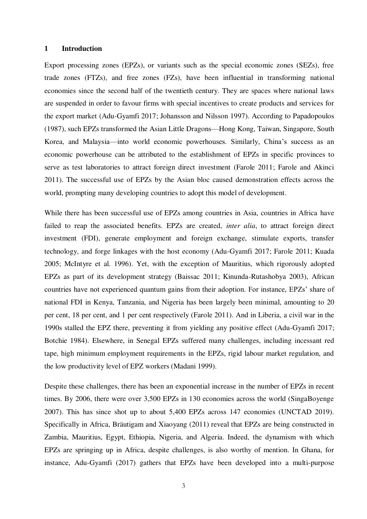#### **1 Introduction**

Export processing zones (EPZs), or variants such as the special economic zones (SEZs), free trade zones (FTZs), and free zones (FZs), have been influential in transforming national economies since the second half of the twentieth century. They are spaces where national laws are suspended in order to favour firms with special incentives to create products and services for the export market (Adu-Gyamfi 2017; Johansson and Nilsson 1997). According to Papadopoulos (1987), such EPZs transformed the Asian Little Dragons—Hong Kong, Taiwan, Singapore, South Korea, and Malaysia—into world economic powerhouses. Similarly, China's success as an economic powerhouse can be attributed to the establishment of EPZs in specific provinces to serve as test laboratories to attract foreign direct investment (Farole 2011; Farole and Akinci 2011). The successful use of EPZs by the Asian bloc caused demonstration effects across the world, prompting many developing countries to adopt this model of development.

While there has been successful use of EPZs among countries in Asia, countries in Africa have failed to reap the associated benefits. EPZs are created, *inter alia*, to attract foreign direct investment (FDI), generate employment and foreign exchange, stimulate exports, transfer technology, and forge linkages with the host economy (Adu-Gyamfi 2017; Farole 2011; Kuada 2005; McIntyre et al. 1996). Yet, with the exception of Mauritius, which rigorously adopted EPZs as part of its development strategy (Baissac 2011; Kinunda-Rutashobya 2003), African countries have not experienced quantum gains from their adoption. For instance, EPZs' share of national FDI in Kenya, Tanzania, and Nigeria has been largely been minimal, amounting to 20 per cent, 18 per cent, and 1 per cent respectively (Farole 2011). And in Liberia, a civil war in the 1990s stalled the EPZ there, preventing it from yielding any positive effect (Adu-Gyamfi 2017; Botchie 1984). Elsewhere, in Senegal EPZs suffered many challenges, including incessant red tape, high minimum employment requirements in the EPZs, rigid labour market regulation, and the low productivity level of EPZ workers (Madani 1999).

Despite these challenges, there has been an exponential increase in the number of EPZs in recent times. By 2006, there were over 3,500 EPZs in 130 economies across the world (SingaBoyenge 2007). This has since shot up to about 5,400 EPZs across 147 economies (UNCTAD 2019). Specifically in Africa, Bräutigam and Xiaoyang (2011) reveal that EPZs are being constructed in Zambia, Mauritius, Egypt, Ethiopia, Nigeria, and Algeria. Indeed, the dynamism with which EPZs are springing up in Africa, despite challenges, is also worthy of mention. In Ghana, for instance, Adu-Gyamfi (2017) gathers that EPZs have been developed into a multi-purpose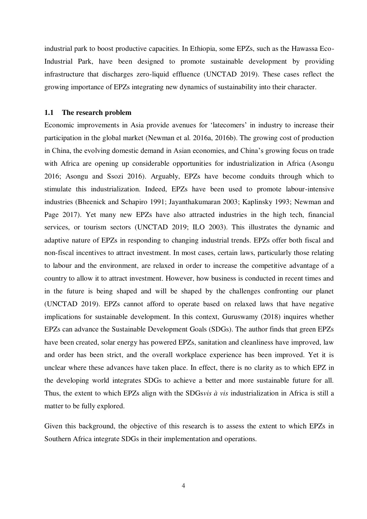industrial park to boost productive capacities. In Ethiopia, some EPZs, such as the Hawassa Eco-Industrial Park, have been designed to promote sustainable development by providing infrastructure that discharges zero-liquid effluence (UNCTAD 2019). These cases reflect the growing importance of EPZs integrating new dynamics of sustainability into their character.

#### **1.1 The research problem**

Economic improvements in Asia provide avenues for 'latecomers' in industry to increase their participation in the global market (Newman et al. 2016a, 2016b). The growing cost of production in China, the evolving domestic demand in Asian economies, and China's growing focus on trade with Africa are opening up considerable opportunities for industrialization in Africa (Asongu 2016; Asongu and Ssozi 2016). Arguably, EPZs have become conduits through which to stimulate this industrialization. Indeed, EPZs have been used to promote labour-intensive industries (Bheenick and Schapiro 1991; Jayanthakumaran 2003; Kaplinsky 1993; Newman and Page 2017). Yet many new EPZs have also attracted industries in the high tech, financial services, or tourism sectors (UNCTAD 2019; ILO 2003). This illustrates the dynamic and adaptive nature of EPZs in responding to changing industrial trends. EPZs offer both fiscal and non-fiscal incentives to attract investment. In most cases, certain laws, particularly those relating to labour and the environment, are relaxed in order to increase the competitive advantage of a country to allow it to attract investment. However, how business is conducted in recent times and in the future is being shaped and will be shaped by the challenges confronting our planet (UNCTAD 2019). EPZs cannot afford to operate based on relaxed laws that have negative implications for sustainable development. In this context, Guruswamy (2018) inquires whether EPZs can advance the Sustainable Development Goals (SDGs). The author finds that green EPZs have been created, solar energy has powered EPZs, sanitation and cleanliness have improved, law and order has been strict, and the overall workplace experience has been improved. Yet it is unclear where these advances have taken place. In effect, there is no clarity as to which EPZ in the developing world integrates SDGs to achieve a better and more sustainable future for all. Thus, the extent to which EPZs align with the SDGs*vis à vis* industrialization in Africa is still a matter to be fully explored.

Given this background, the objective of this research is to assess the extent to which EPZs in Southern Africa integrate SDGs in their implementation and operations.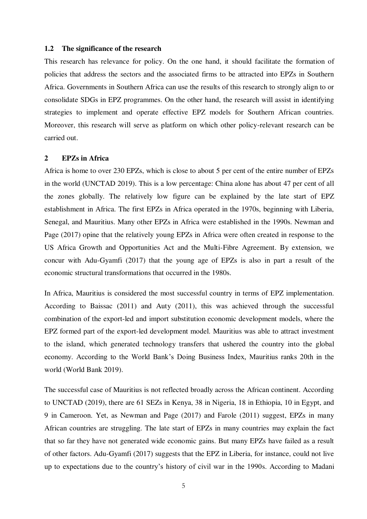#### **1.2 The significance of the research**

This research has relevance for policy. On the one hand, it should facilitate the formation of policies that address the sectors and the associated firms to be attracted into EPZs in Southern Africa. Governments in Southern Africa can use the results of this research to strongly align to or consolidate SDGs in EPZ programmes. On the other hand, the research will assist in identifying strategies to implement and operate effective EPZ models for Southern African countries. Moreover, this research will serve as platform on which other policy-relevant research can be carried out.

#### **2 EPZs in Africa**

Africa is home to over 230 EPZs, which is close to about 5 per cent of the entire number of EPZs in the world (UNCTAD 2019). This is a low percentage: China alone has about 47 per cent of all the zones globally. The relatively low figure can be explained by the late start of EPZ establishment in Africa. The first EPZs in Africa operated in the 1970s, beginning with Liberia, Senegal, and Mauritius. Many other EPZs in Africa were established in the 1990s. Newman and Page (2017) opine that the relatively young EPZs in Africa were often created in response to the US Africa Growth and Opportunities Act and the Multi-Fibre Agreement. By extension, we concur with Adu-Gyamfi (2017) that the young age of EPZs is also in part a result of the economic structural transformations that occurred in the 1980s.

In Africa, Mauritius is considered the most successful country in terms of EPZ implementation. According to Baissac (2011) and Auty (2011), this was achieved through the successful combination of the export-led and import substitution economic development models, where the EPZ formed part of the export-led development model. Mauritius was able to attract investment to the island, which generated technology transfers that ushered the country into the global economy. According to the World Bank's Doing Business Index, Mauritius ranks 20th in the world (World Bank 2019).

The successful case of Mauritius is not reflected broadly across the African continent. According to UNCTAD (2019), there are 61 SEZs in Kenya, 38 in Nigeria, 18 in Ethiopia, 10 in Egypt, and 9 in Cameroon. Yet, as Newman and Page (2017) and Farole (2011) suggest, EPZs in many African countries are struggling. The late start of EPZs in many countries may explain the fact that so far they have not generated wide economic gains. But many EPZs have failed as a result of other factors. Adu-Gyamfi (2017) suggests that the EPZ in Liberia, for instance, could not live up to expectations due to the country's history of civil war in the 1990s. According to Madani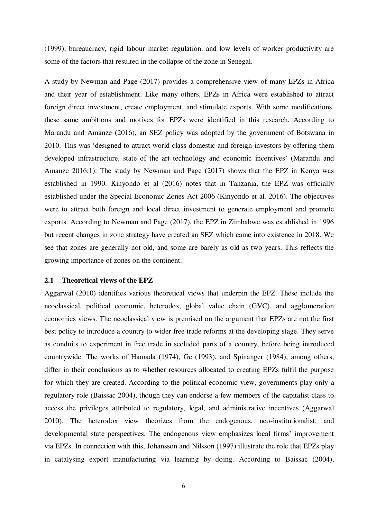(1999), bureaucracy, rigid labour market regulation, and low levels of worker productivity are some of the factors that resulted in the collapse of the zone in Senegal.

A study by Newman and Page (2017) provides a comprehensive view of many EPZs in Africa and their year of establishment. Like many others, EPZs in Africa were established to attract foreign direct investment, create employment, and stimulate exports. With some modifications, these same ambitions and motives for EPZs were identified in this research. According to Marandu and Amanze (2016), an SEZ policy was adopted by the government of Botswana in 2010. This was 'designed to attract world class domestic and foreign investors by offering them developed infrastructure, state of the art technology and economic incentives' (Marandu and Amanze 2016:1). The study by Newman and Page (2017) shows that the EPZ in Kenya was established in 1990. Kinyondo et al (2016) notes that in Tanzania, the EPZ was officially established under the Special Economic Zones Act 2006 (Kinyondo et al. 2016). The objectives were to attract both foreign and local direct investment to generate employment and promote exports. According to Newman and Page (2017), the EPZ in Zimbabwe was established in 1996 but recent changes in zone strategy have created an SEZ which came into existence in 2018. We see that zones are generally not old, and some are barely as old as two years. This reflects the growing importance of zones on the continent.

#### **2.1 Theoretical views of the EPZ**

Aggarwal (2010) identifies various theoretical views that underpin the EPZ. These include the neoclassical, political economic, heterodox, global value chain (GVC), and agglomeration economies views. The neoclassical view is premised on the argument that EPZs are not the first best policy to introduce a country to wider free trade reforms at the developing stage. They serve as conduits to experiment in free trade in secluded parts of a country, before being introduced countrywide. The works of Hamada (1974), Ge (1993), and Spinanger (1984), among others, differ in their conclusions as to whether resources allocated to creating EPZs fulfil the purpose for which they are created. According to the political economic view, governments play only a regulatory role (Baissac 2004), though they can endorse a few members of the capitalist class to access the privileges attributed to regulatory, legal, and administrative incentives (Aggarwal 2010). The heterodox view theorizes from the endogenous, neo-institutionalist, and developmental state perspectives. The endogenous view emphasizes local firms' improvement via EPZs. In connection with this, Johansson and Nilsson (1997) illustrate the role that EPZs play in catalysing export manufacturing via learning by doing. According to Baissac (2004),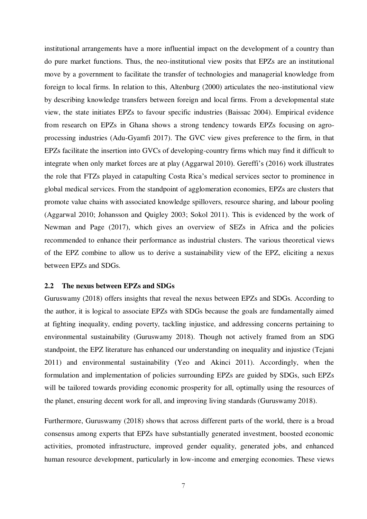institutional arrangements have a more influential impact on the development of a country than do pure market functions. Thus, the neo-institutional view posits that EPZs are an institutional move by a government to facilitate the transfer of technologies and managerial knowledge from foreign to local firms. In relation to this, Altenburg (2000) articulates the neo-institutional view by describing knowledge transfers between foreign and local firms. From a developmental state view, the state initiates EPZs to favour specific industries (Baissac 2004). Empirical evidence from research on EPZs in Ghana shows a strong tendency towards EPZs focusing on agroprocessing industries (Adu-Gyamfi 2017). The GVC view gives preference to the firm, in that EPZs facilitate the insertion into GVCs of developing-country firms which may find it difficult to integrate when only market forces are at play (Aggarwal 2010). Gereffi's (2016) work illustrates the role that FTZs played in catapulting Costa Rica's medical services sector to prominence in global medical services. From the standpoint of agglomeration economies, EPZs are clusters that promote value chains with associated knowledge spillovers, resource sharing, and labour pooling (Aggarwal 2010; Johansson and Quigley 2003; Sokol 2011). This is evidenced by the work of Newman and Page (2017), which gives an overview of SEZs in Africa and the policies recommended to enhance their performance as industrial clusters. The various theoretical views of the EPZ combine to allow us to derive a sustainability view of the EPZ, eliciting a nexus between EPZs and SDGs.

#### **2.2 The nexus between EPZs and SDGs**

Guruswamy (2018) offers insights that reveal the nexus between EPZs and SDGs. According to the author, it is logical to associate EPZs with SDGs because the goals are fundamentally aimed at fighting inequality, ending poverty, tackling injustice, and addressing concerns pertaining to environmental sustainability (Guruswamy 2018). Though not actively framed from an SDG standpoint, the EPZ literature has enhanced our understanding on inequality and injustice (Tejani 2011) and environmental sustainability (Yeo and Akinci 2011). Accordingly, when the formulation and implementation of policies surrounding EPZs are guided by SDGs, such EPZs will be tailored towards providing economic prosperity for all, optimally using the resources of the planet, ensuring decent work for all, and improving living standards (Guruswamy 2018).

Furthermore, Guruswamy (2018) shows that across different parts of the world, there is a broad consensus among experts that EPZs have substantially generated investment, boosted economic activities, promoted infrastructure, improved gender equality, generated jobs, and enhanced human resource development, particularly in low-income and emerging economies. These views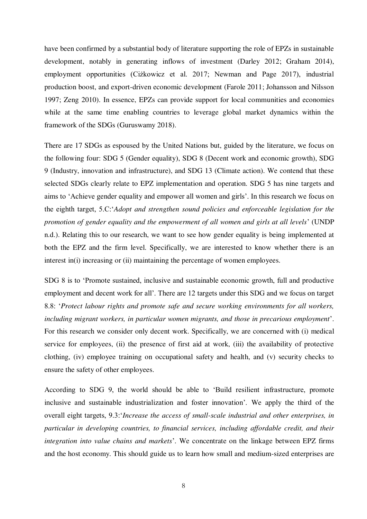have been confirmed by a substantial body of literature supporting the role of EPZs in sustainable development, notably in generating inflows of investment (Darley 2012; Graham 2014), employment opportunities (Ciżkowicz et al. 2017; Newman and Page 2017), industrial production boost, and export-driven economic development (Farole 2011; Johansson and Nilsson 1997; Zeng 2010). In essence, EPZs can provide support for local communities and economies while at the same time enabling countries to leverage global market dynamics within the framework of the SDGs (Guruswamy 2018).

There are 17 SDGs as espoused by the United Nations but, guided by the literature, we focus on the following four: SDG 5 (Gender equality), SDG 8 (Decent work and economic growth), SDG 9 (Industry, innovation and infrastructure), and SDG 13 (Climate action). We contend that these selected SDGs clearly relate to EPZ implementation and operation. SDG 5 has nine targets and aims to 'Achieve gender equality and empower all women and girls'. In this research we focus on the eighth target, 5.C:'*Adopt and strengthen sound policies and enforceable legislation for the promotion of gender equality and the empowerment of all women and girls at all levels*' (UNDP n.d.). Relating this to our research, we want to see how gender equality is being implemented at both the EPZ and the firm level. Specifically, we are interested to know whether there is an interest in(i) increasing or (ii) maintaining the percentage of women employees.

SDG 8 is to 'Promote sustained, inclusive and sustainable economic growth, full and productive employment and decent work for all'. There are 12 targets under this SDG and we focus on target 8.8: '*Protect labour rights and promote safe and secure working environments for all workers, including migrant workers, in particular women migrants, and those in precarious employment*'. For this research we consider only decent work. Specifically, we are concerned with (i) medical service for employees, (ii) the presence of first aid at work, (iii) the availability of protective clothing, (iv) employee training on occupational safety and health, and (v) security checks to ensure the safety of other employees.

According to SDG 9, the world should be able to 'Build resilient infrastructure, promote inclusive and sustainable industrialization and foster innovation'*.* We apply the third of the overall eight targets, 9.3:'*Increase the access of small-scale industrial and other enterprises, in particular in developing countries, to financial services, including affordable credit, and their integration into value chains and markets*'. We concentrate on the linkage between EPZ firms and the host economy. This should guide us to learn how small and medium-sized enterprises are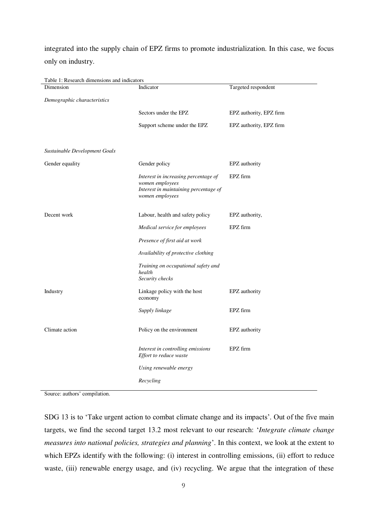integrated into the supply chain of EPZ firms to promote industrialization. In this case, we focus only on industry.

Table 1: Research dimensions and indicators

| 1, Research annicholons and mene<br>Dimension | Indicator                                                                                                           | Targeted respondent     |
|-----------------------------------------------|---------------------------------------------------------------------------------------------------------------------|-------------------------|
| Demographic characteristics                   |                                                                                                                     |                         |
|                                               | Sectors under the EPZ                                                                                               | EPZ authority, EPZ firm |
|                                               | Support scheme under the EPZ                                                                                        | EPZ authority, EPZ firm |
| Sustainable Development Goals                 |                                                                                                                     |                         |
| Gender equality                               | Gender policy                                                                                                       | EPZ authority           |
|                                               | Interest in increasing percentage of<br>women employees<br>Interest in maintaining percentage of<br>women employees | EPZ firm                |
| Decent work                                   | Labour, health and safety policy                                                                                    | EPZ authority,          |
|                                               | Medical service for employees                                                                                       | EPZ firm                |
|                                               | Presence of first aid at work                                                                                       |                         |
|                                               | Availability of protective clothing                                                                                 |                         |
|                                               | Training on occupational safety and<br>health<br>Security checks                                                    |                         |
| Industry                                      | Linkage policy with the host<br>economy                                                                             | EPZ authority           |
|                                               | Supply linkage                                                                                                      | EPZ firm                |
| Climate action                                | Policy on the environment                                                                                           | EPZ authority           |
|                                               | Interest in controlling emissions<br>Effort to reduce waste                                                         | EPZ firm                |
|                                               | Using renewable energy                                                                                              |                         |
|                                               | Recycling                                                                                                           |                         |

Source: authors' compilation.

SDG 13 is to 'Take urgent action to combat climate change and its impacts'. Out of the five main targets, we find the second target 13.2 most relevant to our research: '*Integrate climate change measures into national policies, strategies and planning*'. In this context, we look at the extent to which EPZs identify with the following: (i) interest in controlling emissions, (ii) effort to reduce waste, (iii) renewable energy usage, and (iv) recycling. We argue that the integration of these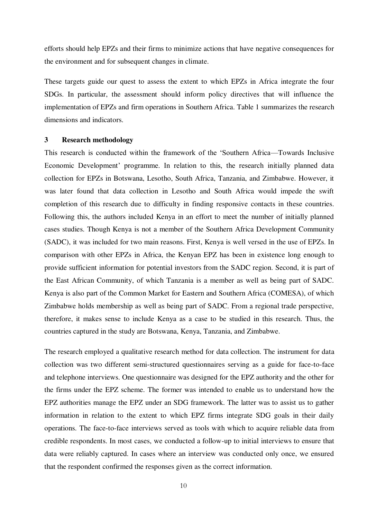efforts should help EPZs and their firms to minimize actions that have negative consequences for the environment and for subsequent changes in climate.

These targets guide our quest to assess the extent to which EPZs in Africa integrate the four SDGs. In particular, the assessment should inform policy directives that will influence the implementation of EPZs and firm operations in Southern Africa. Table 1 summarizes the research dimensions and indicators.

#### **3 Research methodology**

This research is conducted within the framework of the 'Southern Africa—Towards Inclusive Economic Development' programme. In relation to this, the research initially planned data collection for EPZs in Botswana, Lesotho, South Africa, Tanzania, and Zimbabwe. However, it was later found that data collection in Lesotho and South Africa would impede the swift completion of this research due to difficulty in finding responsive contacts in these countries. Following this, the authors included Kenya in an effort to meet the number of initially planned cases studies. Though Kenya is not a member of the Southern Africa Development Community (SADC), it was included for two main reasons. First, Kenya is well versed in the use of EPZs. In comparison with other EPZs in Africa, the Kenyan EPZ has been in existence long enough to provide sufficient information for potential investors from the SADC region. Second, it is part of the East African Community, of which Tanzania is a member as well as being part of SADC. Kenya is also part of the Common Market for Eastern and Southern Africa (COMESA), of which Zimbabwe holds membership as well as being part of SADC. From a regional trade perspective, therefore, it makes sense to include Kenya as a case to be studied in this research. Thus, the countries captured in the study are Botswana, Kenya, Tanzania, and Zimbabwe.

The research employed a qualitative research method for data collection. The instrument for data collection was two different semi-structured questionnaires serving as a guide for face-to-face and telephone interviews. One questionnaire was designed for the EPZ authority and the other for the firms under the EPZ scheme. The former was intended to enable us to understand how the EPZ authorities manage the EPZ under an SDG framework. The latter was to assist us to gather information in relation to the extent to which EPZ firms integrate SDG goals in their daily operations. The face-to-face interviews served as tools with which to acquire reliable data from credible respondents. In most cases, we conducted a follow-up to initial interviews to ensure that data were reliably captured. In cases where an interview was conducted only once, we ensured that the respondent confirmed the responses given as the correct information.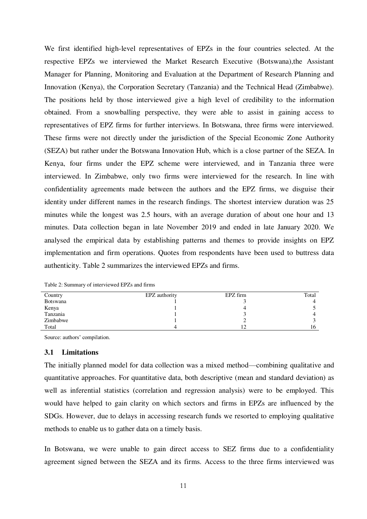We first identified high-level representatives of EPZs in the four countries selected. At the respective EPZs we interviewed the Market Research Executive (Botswana),the Assistant Manager for Planning, Monitoring and Evaluation at the Department of Research Planning and Innovation (Kenya), the Corporation Secretary (Tanzania) and the Technical Head (Zimbabwe). The positions held by those interviewed give a high level of credibility to the information obtained. From a snowballing perspective, they were able to assist in gaining access to representatives of EPZ firms for further interviews. In Botswana, three firms were interviewed. These firms were not directly under the jurisdiction of the Special Economic Zone Authority (SEZA) but rather under the Botswana Innovation Hub, which is a close partner of the SEZA. In Kenya, four firms under the EPZ scheme were interviewed, and in Tanzania three were interviewed. In Zimbabwe, only two firms were interviewed for the research. In line with confidentiality agreements made between the authors and the EPZ firms, we disguise their identity under different names in the research findings. The shortest interview duration was 25 minutes while the longest was 2.5 hours, with an average duration of about one hour and 13 minutes. Data collection began in late November 2019 and ended in late January 2020. We analysed the empirical data by establishing patterns and themes to provide insights on EPZ implementation and firm operations. Quotes from respondents have been used to buttress data authenticity. Table 2 summarizes the interviewed EPZs and firms.

Table 2: Summary of interviewed EPZs and firms

| Country  | EPZ authority | EPZ firm | Total |
|----------|---------------|----------|-------|
| Botswana |               |          | 4     |
| Kenya    |               |          |       |
| Tanzania |               |          |       |
| Zimbabwe |               |          |       |
| Total    |               | 1 ິ      | 16    |

Source: authors' compilation.

#### **3.1 Limitations**

The initially planned model for data collection was a mixed method—combining qualitative and quantitative approaches. For quantitative data, both descriptive (mean and standard deviation) as well as inferential statistics (correlation and regression analysis) were to be employed. This would have helped to gain clarity on which sectors and firms in EPZs are influenced by the SDGs. However, due to delays in accessing research funds we resorted to employing qualitative methods to enable us to gather data on a timely basis.

In Botswana, we were unable to gain direct access to SEZ firms due to a confidentiality agreement signed between the SEZA and its firms. Access to the three firms interviewed was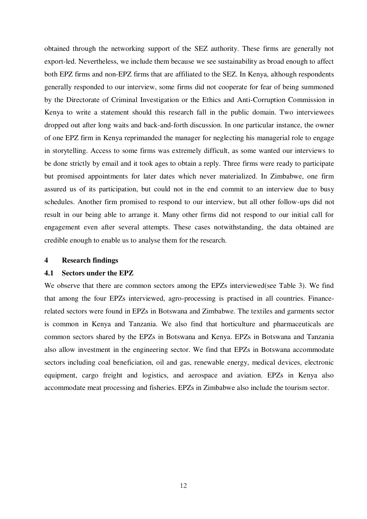obtained through the networking support of the SEZ authority. These firms are generally not export-led. Nevertheless, we include them because we see sustainability as broad enough to affect both EPZ firms and non-EPZ firms that are affiliated to the SEZ. In Kenya, although respondents generally responded to our interview, some firms did not cooperate for fear of being summoned by the Directorate of Criminal Investigation or the Ethics and Anti-Corruption Commission in Kenya to write a statement should this research fall in the public domain. Two interviewees dropped out after long waits and back-and-forth discussion. In one particular instance, the owner of one EPZ firm in Kenya reprimanded the manager for neglecting his managerial role to engage in storytelling. Access to some firms was extremely difficult, as some wanted our interviews to be done strictly by email and it took ages to obtain a reply. Three firms were ready to participate but promised appointments for later dates which never materialized. In Zimbabwe, one firm assured us of its participation, but could not in the end commit to an interview due to busy schedules. Another firm promised to respond to our interview, but all other follow-ups did not result in our being able to arrange it. Many other firms did not respond to our initial call for engagement even after several attempts. These cases notwithstanding, the data obtained are credible enough to enable us to analyse them for the research.

#### **4 Research findings**

#### **4.1 Sectors under the EPZ**

We observe that there are common sectors among the EPZs interviewed(see Table 3). We find that among the four EPZs interviewed, agro-processing is practised in all countries. Financerelated sectors were found in EPZs in Botswana and Zimbabwe. The textiles and garments sector is common in Kenya and Tanzania. We also find that horticulture and pharmaceuticals are common sectors shared by the EPZs in Botswana and Kenya. EPZs in Botswana and Tanzania also allow investment in the engineering sector. We find that EPZs in Botswana accommodate sectors including coal beneficiation, oil and gas, renewable energy, medical devices, electronic equipment, cargo freight and logistics, and aerospace and aviation. EPZs in Kenya also accommodate meat processing and fisheries. EPZs in Zimbabwe also include the tourism sector.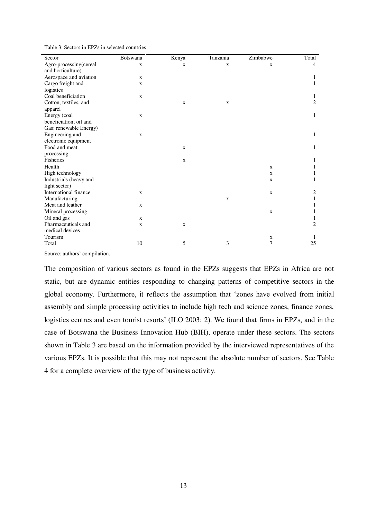| Sector                 | <b>Botswana</b> | Kenya        | Tanzania    | Zimbabwe     | Total          |
|------------------------|-----------------|--------------|-------------|--------------|----------------|
| Agro-processing(cereal | $\mathbf X$     | $\mathbf X$  | X           | X            | 4              |
| and horticulture)      |                 |              |             |              |                |
| Aerospace and aviation | $\mathbf X$     |              |             |              |                |
| Cargo freight and      | $\mathbf X$     |              |             |              |                |
| logistics              |                 |              |             |              |                |
| Coal beneficiation     | $\mathbf X$     |              |             |              | 1              |
| Cotton, textiles, and  |                 | X            | X           |              | $\overline{2}$ |
| apparel                |                 |              |             |              |                |
| Energy (coal           | $\mathbf X$     |              |             |              | 1              |
| beneficiation; oil and |                 |              |             |              |                |
| Gas; renewable Energy) |                 |              |             |              |                |
| Engineering and        | $\mathbf X$     |              |             |              | 1              |
| electronic equipment   |                 |              |             |              |                |
| Food and meat          |                 | $\mathbf{x}$ |             |              | 1              |
| processing             |                 |              |             |              |                |
| Fisheries              |                 | X            |             |              |                |
| Health                 |                 |              |             | $\mathbf X$  |                |
| High technology        |                 |              |             | $\mathbf X$  |                |
| Industrials (heavy and |                 |              |             | $\mathbf{x}$ |                |
| light sector)          |                 |              |             |              |                |
| International finance  | $\mathbf X$     |              |             | $\mathbf x$  | 2              |
| Manufacturing          |                 |              | $\mathbf x$ |              |                |
| Meat and leather       | $\mathbf X$     |              |             |              |                |
| Mineral processing     |                 |              |             | $\mathbf X$  |                |
| Oil and gas            | $\mathbf X$     |              |             |              |                |
| Pharmaceuticals and    | $\mathbf X$     | X            |             |              | $\overline{2}$ |
| medical devices        |                 |              |             |              |                |
| Tourism                |                 |              |             | $\mathbf X$  |                |
| Total                  | 10              | 5            | 3           | 7            | 25             |

Source: authors' compilation.

The composition of various sectors as found in the EPZs suggests that EPZs in Africa are not static, but are dynamic entities responding to changing patterns of competitive sectors in the global economy. Furthermore, it reflects the assumption that 'zones have evolved from initial assembly and simple processing activities to include high tech and science zones, finance zones, logistics centres and even tourist resorts' (ILO 2003: 2). We found that firms in EPZs, and in the case of Botswana the Business Innovation Hub (BIH), operate under these sectors. The sectors shown in Table 3 are based on the information provided by the interviewed representatives of the various EPZs. It is possible that this may not represent the absolute number of sectors. See Table 4 for a complete overview of the type of business activity.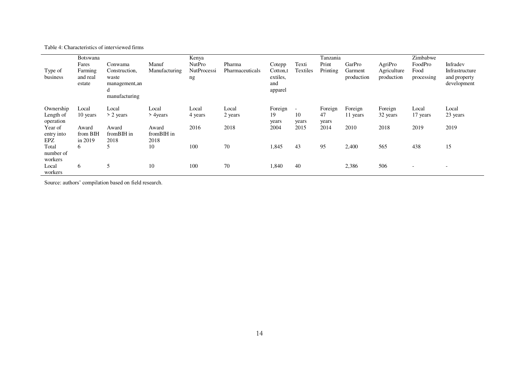Table 4: Characteristics of interviewed firms

|                     | Botswana                      |                                                                |               | Kenya             |                 |                                        |                          | Tanzania |                       |                           | Zimbabwe                 |                                               |  |  |  |
|---------------------|-------------------------------|----------------------------------------------------------------|---------------|-------------------|-----------------|----------------------------------------|--------------------------|----------|-----------------------|---------------------------|--------------------------|-----------------------------------------------|--|--|--|
|                     | Fares                         | Conwama                                                        | Manuf         | <b>NutPro</b>     | Pharma          | Cotepp                                 | Texti                    | Print    | GarPro                | AgriPro                   | FoodPro                  | Infradev                                      |  |  |  |
| Type of<br>business | Farming<br>and real<br>estate | Construction.<br>waste<br>management, an<br>d<br>manufacturing | Manufacturing | NutProcessi<br>ng | Pharmaceuticals | Cotton,t<br>extiles,<br>and<br>apparel | Textiles                 | Printing | Garment<br>production | Agriculture<br>production | Food<br>processing       | Infrastructure<br>and property<br>development |  |  |  |
| Ownership           | Local                         | Local                                                          | Local         | Local             | Local           | Foreign                                | $\overline{\phantom{a}}$ | Foreign  | Foreign               | Foreign                   | Local                    | Local                                         |  |  |  |
| Length of           | 10 years                      | $> 2$ years                                                    | > 4 years     | 4 years           | 2 years         | 19                                     | 10                       | 47       | 11 years              | 32 years                  | 17 years                 | 23 years                                      |  |  |  |
| operation           |                               |                                                                |               |                   |                 | years                                  | years                    | years    |                       |                           |                          |                                               |  |  |  |
| Year of             | Award                         | Award                                                          | Award         | 2016              | 2018            | 2004                                   | 2015                     | 2014     | 2010                  | 2018                      | 2019                     | 2019                                          |  |  |  |
| entry into          | from BIH                      | fromBIH in                                                     | fromBIH in    |                   |                 |                                        |                          |          |                       |                           |                          |                                               |  |  |  |
| EPZ                 | in 2019                       | 2018                                                           | 2018          |                   |                 |                                        |                          |          |                       |                           |                          |                                               |  |  |  |
| Total               | 6                             | 5                                                              | 10            | 100               | $70\,$          | 1,845                                  | 43                       | 95       | 2,400                 | 565                       | 438                      | 15                                            |  |  |  |
| number of           |                               |                                                                |               |                   |                 |                                        |                          |          |                       |                           |                          |                                               |  |  |  |
| workers             |                               |                                                                |               |                   |                 |                                        |                          |          |                       |                           |                          |                                               |  |  |  |
| Local               | 6                             | 5                                                              | 10            | 100               | 70              | 1,840                                  | 40                       |          | 2,386                 | 506                       | $\overline{\phantom{a}}$ | $\overline{\phantom{0}}$                      |  |  |  |
| workers             |                               |                                                                |               |                   |                 |                                        |                          |          |                       |                           |                          |                                               |  |  |  |

Source: authors' compilation based on field research.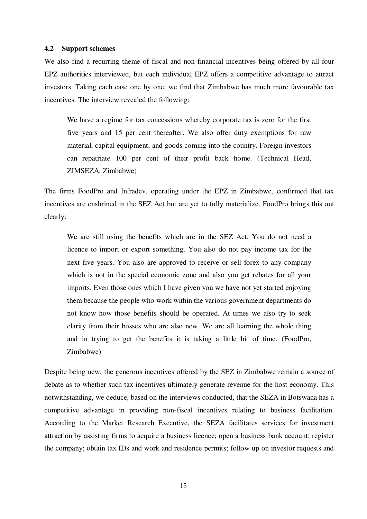#### **4.2 Support schemes**

We also find a recurring theme of fiscal and non-financial incentives being offered by all four EPZ authorities interviewed, but each individual EPZ offers a competitive advantage to attract investors. Taking each case one by one, we find that Zimbabwe has much more favourable tax incentives. The interview revealed the following:

We have a regime for tax concessions whereby corporate tax is zero for the first five years and 15 per cent thereafter. We also offer duty exemptions for raw material, capital equipment, and goods coming into the country. Foreign investors can repatriate 100 per cent of their profit back home. (Technical Head, ZIMSEZA, Zimbabwe)

The firms FoodPro and Infradev, operating under the EPZ in Zimbabwe, confirmed that tax incentives are enshrined in the SEZ Act but are yet to fully materialize. FoodPro brings this out clearly:

We are still using the benefits which are in the SEZ Act. You do not need a licence to import or export something. You also do not pay income tax for the next five years. You also are approved to receive or sell forex to any company which is not in the special economic zone and also you get rebates for all your imports. Even those ones which I have given you we have not yet started enjoying them because the people who work within the various government departments do not know how those benefits should be operated. At times we also try to seek clarity from their bosses who are also new. We are all learning the whole thing and in trying to get the benefits it is taking a little bit of time. (FoodPro, Zimbabwe)

Despite being new, the generous incentives offered by the SEZ in Zimbabwe remain a source of debate as to whether such tax incentives ultimately generate revenue for the host economy. This notwithstanding, we deduce, based on the interviews conducted, that the SEZA in Botswana has a competitive advantage in providing non-fiscal incentives relating to business facilitation. According to the Market Research Executive, the SEZA facilitates services for investment attraction by assisting firms to acquire a business licence; open a business bank account; register the company; obtain tax IDs and work and residence permits; follow up on investor requests and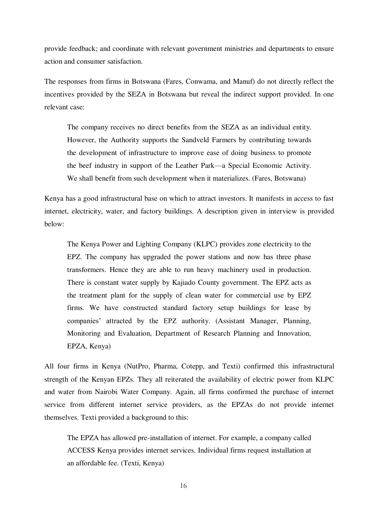provide feedback; and coordinate with relevant government ministries and departments to ensure action and consumer satisfaction.

The responses from firms in Botswana (Fares, Conwama, and Manuf) do not directly reflect the incentives provided by the SEZA in Botswana but reveal the indirect support provided. In one relevant case:

The company receives no direct benefits from the SEZA as an individual entity. However, the Authority supports the Sandveld Farmers by contributing towards the development of infrastructure to improve ease of doing business to promote the beef industry in support of the Leather Park—a Special Economic Activity. We shall benefit from such development when it materializes. (Fares, Botswana)

Kenya has a good infrastructural base on which to attract investors. It manifests in access to fast internet, electricity, water, and factory buildings. A description given in interview is provided below:

The Kenya Power and Lighting Company (KLPC) provides zone electricity to the EPZ. The company has upgraded the power stations and now has three phase transformers. Hence they are able to run heavy machinery used in production. There is constant water supply by Kajiado County government. The EPZ acts as the treatment plant for the supply of clean water for commercial use by EPZ firms. We have constructed standard factory setup buildings for lease by companies' attracted by the EPZ authority. (Assistant Manager, Planning, Monitoring and Evaluation, Department of Research Planning and Innovation, EPZA, Kenya)

All four firms in Kenya (NutPro, Pharma, Cotepp, and Texti) confirmed this infrastructural strength of the Kenyan EPZs. They all reiterated the availability of electric power from KLPC and water from Nairobi Water Company. Again, all firms confirmed the purchase of internet service from different internet service providers, as the EPZAs do not provide internet themselves. Texti provided a background to this:

The EPZA has allowed pre-installation of internet. For example, a company called ACCESS Kenya provides internet services. Individual firms request installation at an affordable fee. (Texti, Kenya)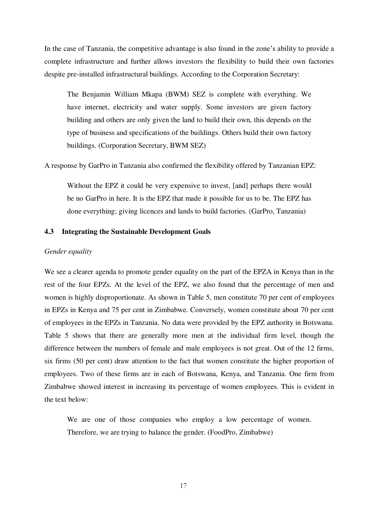In the case of Tanzania, the competitive advantage is also found in the zone's ability to provide a complete infrastructure and further allows investors the flexibility to build their own factories despite pre-installed infrastructural buildings. According to the Corporation Secretary:

The Benjamin William Mkapa (BWM) SEZ is complete with everything. We have internet, electricity and water supply. Some investors are given factory building and others are only given the land to build their own, this depends on the type of business and specifications of the buildings. Others build their own factory buildings. (Corporation Secretary, BWM SEZ)

A response by GarPro in Tanzania also confirmed the flexibility offered by Tanzanian EPZ:

Without the EPZ it could be very expensive to invest, [and] perhaps there would be no GarPro in here. It is the EPZ that made it possible for us to be. The EPZ has done everything; giving licences and lands to build factories. (GarPro, Tanzania)

#### **4.3 Integrating the Sustainable Development Goals**

#### *Gender equality*

We see a clearer agenda to promote gender equality on the part of the EPZA in Kenya than in the rest of the four EPZs. At the level of the EPZ, we also found that the percentage of men and women is highly disproportionate. As shown in Table 5, men constitute 70 per cent of employees in EPZs in Kenya and 75 per cent in Zimbabwe. Conversely, women constitute about 70 per cent of employees in the EPZs in Tanzania. No data were provided by the EPZ authority in Botswana. Table 5 shows that there are generally more men at the individual firm level, though the difference between the numbers of female and male employees is not great. Out of the 12 firms, six firms (50 per cent) draw attention to the fact that women constitute the higher proportion of employees. Two of these firms are in each of Botswana, Kenya, and Tanzania. One firm from Zimbabwe showed interest in increasing its percentage of women employees. This is evident in the text below:

We are one of those companies who employ a low percentage of women. Therefore, we are trying to balance the gender. (FoodPro, Zimbabwe)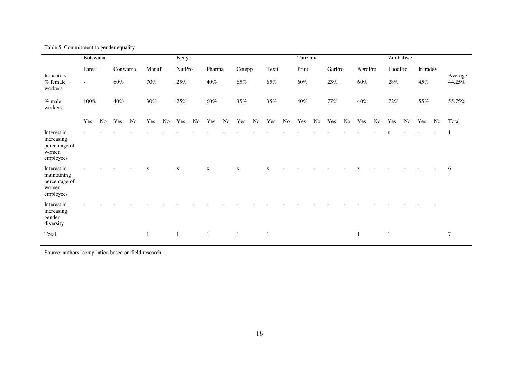| Table 5: Commitment to gender equality |  |  |  |
|----------------------------------------|--|--|--|
|----------------------------------------|--|--|--|

|                                                                   | Botswana                 |    |         |                |             |        | Kenya         |        |             |        |             |        |              |       | Tanzania |       |        |        |         |        |              | Zimbabwe |          |        |         |  |
|-------------------------------------------------------------------|--------------------------|----|---------|----------------|-------------|--------|---------------|--------|-------------|--------|-------------|--------|--------------|-------|----------|-------|--------|--------|---------|--------|--------------|----------|----------|--------|---------|--|
| Indicators                                                        | Fares                    |    | Conwama |                | Manuf       |        | <b>NutPro</b> |        |             | Pharma |             | Cotepp |              | Texti |          | Print |        | GarPro | AgroPro |        | FoodPro      |          | Infradev |        | Average |  |
| % female<br>workers                                               | $\overline{\phantom{a}}$ |    | 60%     |                | 70%         |        | 25%           |        | $40\%$      |        | $65\%$      |        | $65\%$       |       | 60%      |       | $23\%$ |        | $60\%$  |        | 28%          |          | 45%      |        | 44.25%  |  |
| $%$ male<br>workers                                               | $40\%$<br>$100\%$        |    |         | $30\%$         |             | $75\%$ |               | $60\%$ |             | $35\%$ |             |        | $35\%$       |       | $40\%$   |       | $77\%$ |        |         | $72\%$ |              | 55%      |          | 55.75% |         |  |
|                                                                   | Yes                      | No | Yes     | N <sub>0</sub> | Yes         | No     | Yes           | No     | Yes         | No     | Yes         | No     | Yes          | No    | Yes      | No    | Yes    | No     | Yes     | No     | Yes          | No       | Yes      | No     | Total   |  |
| Interest in<br>increasing<br>percentage of<br>women<br>employees  |                          |    |         |                |             |        |               |        |             |        |             |        |              |       |          |       |        |        |         |        | $\mathbf x$  |          |          |        |         |  |
| Interest in<br>maintaining<br>percentage of<br>women<br>employees |                          |    |         |                | $\mathbf X$ |        | $\mathbf X$   |        | $\mathbf X$ |        | $\mathbf X$ |        | $\mathbf X$  |       |          |       |        |        |         |        |              |          |          |        | 6       |  |
| Interest in<br>increasing<br>gender<br>diversity                  |                          |    |         |                |             |        |               |        |             |        |             |        |              |       |          |       |        |        |         |        |              |          |          |        |         |  |
| Total                                                             |                          |    |         |                | 1           |        |               |        | 1           |        |             |        | $\mathbf{1}$ |       |          |       |        |        |         |        | $\mathbf{1}$ |          |          |        | 7       |  |

Source: authors' compilation based on field research.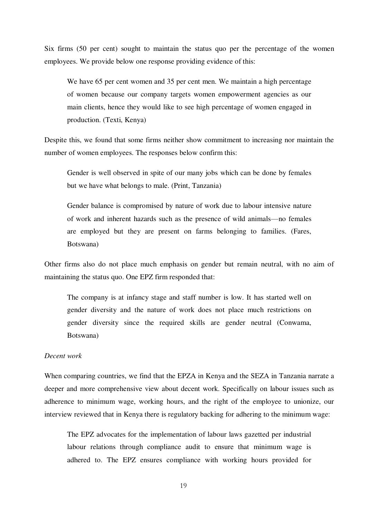Six firms (50 per cent) sought to maintain the status quo per the percentage of the women employees. We provide below one response providing evidence of this:

We have 65 per cent women and 35 per cent men. We maintain a high percentage of women because our company targets women empowerment agencies as our main clients, hence they would like to see high percentage of women engaged in production. (Texti, Kenya)

Despite this, we found that some firms neither show commitment to increasing nor maintain the number of women employees. The responses below confirm this:

Gender is well observed in spite of our many jobs which can be done by females but we have what belongs to male. (Print, Tanzania)

Gender balance is compromised by nature of work due to labour intensive nature of work and inherent hazards such as the presence of wild animals—no females are employed but they are present on farms belonging to families. (Fares, Botswana)

Other firms also do not place much emphasis on gender but remain neutral, with no aim of maintaining the status quo. One EPZ firm responded that:

The company is at infancy stage and staff number is low. It has started well on gender diversity and the nature of work does not place much restrictions on gender diversity since the required skills are gender neutral (Conwama, Botswana)

#### *Decent work*

When comparing countries, we find that the EPZA in Kenya and the SEZA in Tanzania narrate a deeper and more comprehensive view about decent work. Specifically on labour issues such as adherence to minimum wage, working hours, and the right of the employee to unionize, our interview reviewed that in Kenya there is regulatory backing for adhering to the minimum wage:

The EPZ advocates for the implementation of labour laws gazetted per industrial labour relations through compliance audit to ensure that minimum wage is adhered to. The EPZ ensures compliance with working hours provided for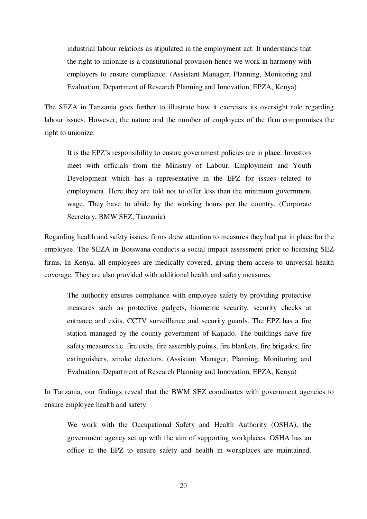industrial labour relations as stipulated in the employment act. It understands that the right to unionize is a constitutional provision hence we work in harmony with employers to ensure compliance. (Assistant Manager, Planning, Monitoring and Evaluation, Department of Research Planning and Innovation, EPZA, Kenya)

The SEZA in Tanzania goes further to illustrate how it exercises its oversight role regarding labour issues. However, the nature and the number of employees of the firm compromises the right to unionize.

It is the EPZ's responsibility to ensure government policies are in place. Investors meet with officials from the Ministry of Labour, Employment and Youth Development which has a representative in the EPZ for issues related to employment. Here they are told not to offer less than the minimum government wage. They have to abide by the working hours per the country. (Corporate Secretary, BMW SEZ, Tanzania)

Regarding health and safety issues, firms drew attention to measures they had put in place for the employee. The SEZA in Botswana conducts a social impact assessment prior to licensing SEZ firms. In Kenya, all employees are medically covered, giving them access to universal health coverage. They are also provided with additional health and safety measures:

The authority ensures compliance with employee safety by providing protective measures such as protective gadgets, biometric security, security checks at entrance and exits, CCTV surveillance and security guards. The EPZ has a fire station managed by the county government of Kajiado. The buildings have fire safety measures i.e. fire exits, fire assembly points, fire blankets, fire brigades, fire extinguishers, smoke detectors. (Assistant Manager, Planning, Monitoring and Evaluation, Department of Research Planning and Innovation, EPZA, Kenya)

In Tanzania, our findings reveal that the BWM SEZ coordinates with government agencies to ensure employee health and safety:

We work with the Occupational Safety and Health Authority (OSHA), the government agency set up with the aim of supporting workplaces. OSHA has an office in the EPZ to ensure safety and health in workplaces are maintained.

20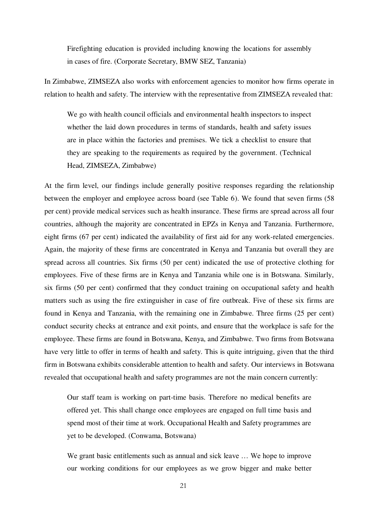Firefighting education is provided including knowing the locations for assembly in cases of fire. (Corporate Secretary, BMW SEZ, Tanzania)

In Zimbabwe, ZIMSEZA also works with enforcement agencies to monitor how firms operate in relation to health and safety. The interview with the representative from ZIMSEZA revealed that:

We go with health council officials and environmental health inspectors to inspect whether the laid down procedures in terms of standards, health and safety issues are in place within the factories and premises. We tick a checklist to ensure that they are speaking to the requirements as required by the government. (Technical Head, ZIMSEZA, Zimbabwe)

At the firm level, our findings include generally positive responses regarding the relationship between the employer and employee across board (see Table 6). We found that seven firms (58 per cent) provide medical services such as health insurance. These firms are spread across all four countries, although the majority are concentrated in EPZs in Kenya and Tanzania. Furthermore, eight firms (67 per cent) indicated the availability of first aid for any work-related emergencies. Again, the majority of these firms are concentrated in Kenya and Tanzania but overall they are spread across all countries. Six firms (50 per cent) indicated the use of protective clothing for employees. Five of these firms are in Kenya and Tanzania while one is in Botswana. Similarly, six firms (50 per cent) confirmed that they conduct training on occupational safety and health matters such as using the fire extinguisher in case of fire outbreak. Five of these six firms are found in Kenya and Tanzania, with the remaining one in Zimbabwe. Three firms (25 per cent) conduct security checks at entrance and exit points, and ensure that the workplace is safe for the employee. These firms are found in Botswana, Kenya, and Zimbabwe. Two firms from Botswana have very little to offer in terms of health and safety. This is quite intriguing, given that the third firm in Botswana exhibits considerable attention to health and safety. Our interviews in Botswana revealed that occupational health and safety programmes are not the main concern currently:

Our staff team is working on part-time basis. Therefore no medical benefits are offered yet. This shall change once employees are engaged on full time basis and spend most of their time at work. Occupational Health and Safety programmes are yet to be developed. (Conwama, Botswana)

We grant basic entitlements such as annual and sick leave ... We hope to improve our working conditions for our employees as we grow bigger and make better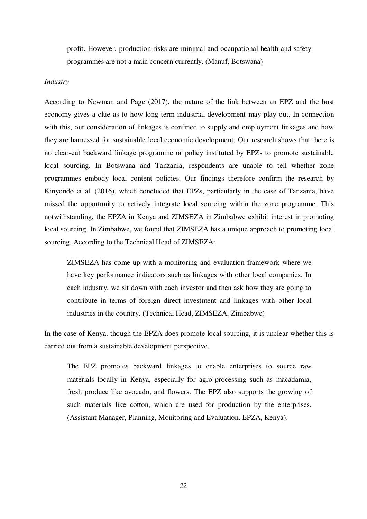profit. However, production risks are minimal and occupational health and safety programmes are not a main concern currently. (Manuf, Botswana)

#### *Industry*

According to Newman and Page (2017), the nature of the link between an EPZ and the host economy gives a clue as to how long-term industrial development may play out. In connection with this, our consideration of linkages is confined to supply and employment linkages and how they are harnessed for sustainable local economic development. Our research shows that there is no clear-cut backward linkage programme or policy instituted by EPZs to promote sustainable local sourcing. In Botswana and Tanzania, respondents are unable to tell whether zone programmes embody local content policies. Our findings therefore confirm the research by Kinyondo et al. (2016), which concluded that EPZs, particularly in the case of Tanzania, have missed the opportunity to actively integrate local sourcing within the zone programme. This notwithstanding, the EPZA in Kenya and ZIMSEZA in Zimbabwe exhibit interest in promoting local sourcing. In Zimbabwe, we found that ZIMSEZA has a unique approach to promoting local sourcing. According to the Technical Head of ZIMSEZA:

ZIMSEZA has come up with a monitoring and evaluation framework where we have key performance indicators such as linkages with other local companies. In each industry, we sit down with each investor and then ask how they are going to contribute in terms of foreign direct investment and linkages with other local industries in the country. (Technical Head, ZIMSEZA, Zimbabwe)

In the case of Kenya, though the EPZA does promote local sourcing, it is unclear whether this is carried out from a sustainable development perspective.

The EPZ promotes backward linkages to enable enterprises to source raw materials locally in Kenya, especially for agro-processing such as macadamia, fresh produce like avocado, and flowers. The EPZ also supports the growing of such materials like cotton, which are used for production by the enterprises. (Assistant Manager, Planning, Monitoring and Evaluation, EPZA, Kenya).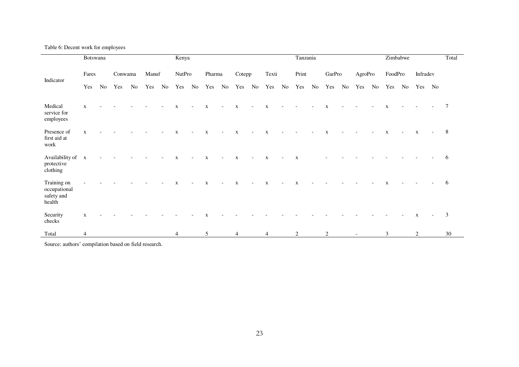Table 6: Decent work for employees

|                                                     | Botswana       |    |         |    |       |    | Kenya          |                          |             |                          |                |                          |                |                          | Tanzania    |       |             |  |                          |  | Zimbabwe     | Total                    |             |                          |    |
|-----------------------------------------------------|----------------|----|---------|----|-------|----|----------------|--------------------------|-------------|--------------------------|----------------|--------------------------|----------------|--------------------------|-------------|-------|-------------|--|--------------------------|--|--------------|--------------------------|-------------|--------------------------|----|
| Indicator                                           | Fares          |    | Conwama |    | Manuf |    | <b>NutPro</b>  |                          |             | Pharma                   |                | Cotepp                   |                | Texti                    |             | Print | GarPro      |  | AgroPro                  |  | FoodPro      |                          | Infradev    |                          |    |
|                                                     | Yes            | No | Yes     | No | Yes   | No | Yes            | No                       | Yes         | No                       | Yes No         |                          | Yes            | No                       | Yes         | No    | Yes No      |  | Yes No                   |  | Yes          |                          | No Yes No   |                          |    |
| Medical<br>service for<br>employees                 | $\mathbf{x}$   |    |         |    |       |    | $\mathbf{X}$   | $\overline{\phantom{a}}$ | $\mathbf X$ | $\overline{\phantom{a}}$ | $\mathbf{X}$   | $\overline{\phantom{a}}$ | $\mathbf{X}$   |                          |             |       | $\mathbf X$ |  |                          |  | $\mathbf{x}$ |                          |             |                          | 7  |
| Presence of<br>first aid at<br>work                 | $\mathbf{x}$   |    |         |    |       |    | $\mathbf x$    | $\overline{\phantom{a}}$ | $\mathbf X$ | $\overline{\phantom{0}}$ | $\mathbf{X}$   | $\overline{\phantom{a}}$ | $\mathbf{x}$   |                          |             |       | X           |  |                          |  | $\mathbf{X}$ | $\overline{\phantom{a}}$ | $\mathbf X$ | $\overline{\phantom{a}}$ | 8  |
| Availability of<br>protective<br>clothing           | $\mathbf{x}$   |    |         |    |       |    | $\mathbf X$    | $\overline{\phantom{a}}$ | $\mathbf X$ | $\overline{\phantom{a}}$ | $\mathbf X$    | $\overline{\phantom{a}}$ | $\mathbf{x}$   | $\overline{\phantom{a}}$ | $\mathbf X$ |       |             |  |                          |  |              |                          |             |                          | 6  |
| Training on<br>occupational<br>safety and<br>health |                |    |         |    |       |    | $\mathbf X$    | $\overline{\phantom{a}}$ | $\mathbf X$ | $\overline{\phantom{a}}$ | $\mathbf X$    | $\overline{\phantom{a}}$ | $\mathbf{X}$   |                          | $\mathbf X$ |       |             |  |                          |  | $\mathbf X$  |                          |             |                          | 6  |
| Security<br>checks                                  | X              |    |         |    |       |    |                |                          |             |                          |                |                          |                |                          |             |       |             |  |                          |  |              |                          | $\mathbf X$ | $\overline{\phantom{a}}$ | 3  |
| Total                                               | $\overline{4}$ |    |         |    |       |    | $\overline{4}$ |                          | 5           |                          | $\overline{4}$ |                          | $\overline{4}$ |                          | 2           |       | 2           |  | $\overline{\phantom{a}}$ |  | 3            |                          | 2           |                          | 30 |

Source: authors' compilation based on field research.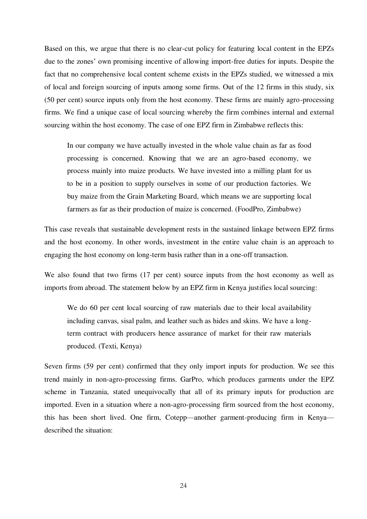Based on this, we argue that there is no clear-cut policy for featuring local content in the EPZs due to the zones' own promising incentive of allowing import-free duties for inputs. Despite the fact that no comprehensive local content scheme exists in the EPZs studied, we witnessed a mix of local and foreign sourcing of inputs among some firms. Out of the 12 firms in this study, six (50 per cent) source inputs only from the host economy. These firms are mainly agro-processing firms. We find a unique case of local sourcing whereby the firm combines internal and external sourcing within the host economy. The case of one EPZ firm in Zimbabwe reflects this:

In our company we have actually invested in the whole value chain as far as food processing is concerned. Knowing that we are an agro-based economy, we process mainly into maize products. We have invested into a milling plant for us to be in a position to supply ourselves in some of our production factories. We buy maize from the Grain Marketing Board, which means we are supporting local farmers as far as their production of maize is concerned. (FoodPro, Zimbabwe)

This case reveals that sustainable development rests in the sustained linkage between EPZ firms and the host economy. In other words, investment in the entire value chain is an approach to engaging the host economy on long-term basis rather than in a one-off transaction.

We also found that two firms (17 per cent) source inputs from the host economy as well as imports from abroad. The statement below by an EPZ firm in Kenya justifies local sourcing:

We do 60 per cent local sourcing of raw materials due to their local availability including canvas, sisal palm, and leather such as hides and skins. We have a longterm contract with producers hence assurance of market for their raw materials produced. (Texti, Kenya)

Seven firms (59 per cent) confirmed that they only import inputs for production. We see this trend mainly in non-agro-processing firms. GarPro, which produces garments under the EPZ scheme in Tanzania, stated unequivocally that all of its primary inputs for production are imported. Even in a situation where a non-agro-processing firm sourced from the host economy, this has been short lived. One firm, Cotepp—another garment-producing firm in Kenya described the situation: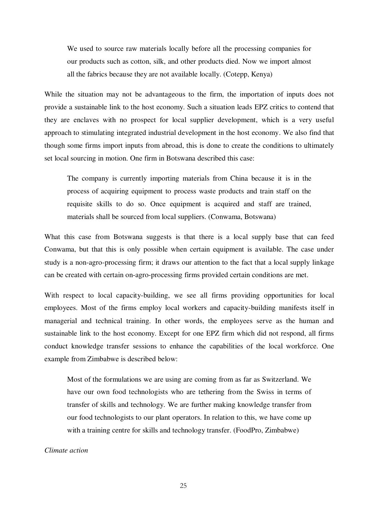We used to source raw materials locally before all the processing companies for our products such as cotton, silk, and other products died. Now we import almost all the fabrics because they are not available locally. (Cotepp, Kenya)

While the situation may not be advantageous to the firm, the importation of inputs does not provide a sustainable link to the host economy. Such a situation leads EPZ critics to contend that they are enclaves with no prospect for local supplier development, which is a very useful approach to stimulating integrated industrial development in the host economy. We also find that though some firms import inputs from abroad, this is done to create the conditions to ultimately set local sourcing in motion. One firm in Botswana described this case:

The company is currently importing materials from China because it is in the process of acquiring equipment to process waste products and train staff on the requisite skills to do so. Once equipment is acquired and staff are trained, materials shall be sourced from local suppliers. (Conwama, Botswana)

What this case from Botswana suggests is that there is a local supply base that can feed Conwama, but that this is only possible when certain equipment is available. The case under study is a non-agro-processing firm; it draws our attention to the fact that a local supply linkage can be created with certain on-agro-processing firms provided certain conditions are met.

With respect to local capacity-building, we see all firms providing opportunities for local employees. Most of the firms employ local workers and capacity-building manifests itself in managerial and technical training. In other words, the employees serve as the human and sustainable link to the host economy. Except for one EPZ firm which did not respond, all firms conduct knowledge transfer sessions to enhance the capabilities of the local workforce. One example from Zimbabwe is described below:

Most of the formulations we are using are coming from as far as Switzerland. We have our own food technologists who are tethering from the Swiss in terms of transfer of skills and technology. We are further making knowledge transfer from our food technologists to our plant operators. In relation to this, we have come up with a training centre for skills and technology transfer. (FoodPro, Zimbabwe)

#### *Climate action*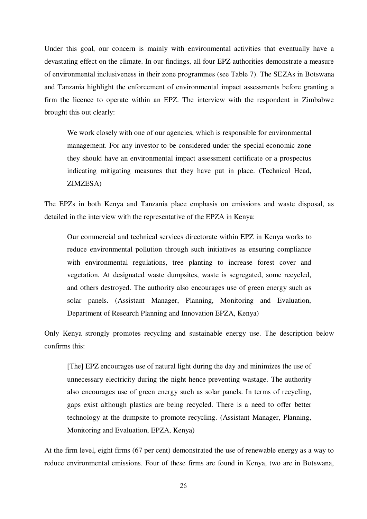Under this goal, our concern is mainly with environmental activities that eventually have a devastating effect on the climate. In our findings, all four EPZ authorities demonstrate a measure of environmental inclusiveness in their zone programmes (see Table 7). The SEZAs in Botswana and Tanzania highlight the enforcement of environmental impact assessments before granting a firm the licence to operate within an EPZ. The interview with the respondent in Zimbabwe brought this out clearly:

We work closely with one of our agencies, which is responsible for environmental management. For any investor to be considered under the special economic zone they should have an environmental impact assessment certificate or a prospectus indicating mitigating measures that they have put in place. (Technical Head, ZIMZESA)

The EPZs in both Kenya and Tanzania place emphasis on emissions and waste disposal, as detailed in the interview with the representative of the EPZA in Kenya:

Our commercial and technical services directorate within EPZ in Kenya works to reduce environmental pollution through such initiatives as ensuring compliance with environmental regulations, tree planting to increase forest cover and vegetation. At designated waste dumpsites, waste is segregated, some recycled, and others destroyed. The authority also encourages use of green energy such as solar panels. (Assistant Manager, Planning, Monitoring and Evaluation, Department of Research Planning and Innovation EPZA, Kenya)

Only Kenya strongly promotes recycling and sustainable energy use. The description below confirms this:

[The] EPZ encourages use of natural light during the day and minimizes the use of unnecessary electricity during the night hence preventing wastage. The authority also encourages use of green energy such as solar panels. In terms of recycling, gaps exist although plastics are being recycled. There is a need to offer better technology at the dumpsite to promote recycling. (Assistant Manager, Planning, Monitoring and Evaluation, EPZA, Kenya)

At the firm level, eight firms (67 per cent) demonstrated the use of renewable energy as a way to reduce environmental emissions. Four of these firms are found in Kenya, two are in Botswana,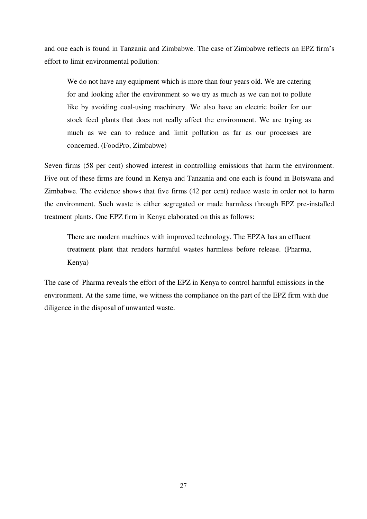and one each is found in Tanzania and Zimbabwe. The case of Zimbabwe reflects an EPZ firm's effort to limit environmental pollution:

We do not have any equipment which is more than four years old. We are catering for and looking after the environment so we try as much as we can not to pollute like by avoiding coal-using machinery. We also have an electric boiler for our stock feed plants that does not really affect the environment. We are trying as much as we can to reduce and limit pollution as far as our processes are concerned. (FoodPro, Zimbabwe)

Seven firms (58 per cent) showed interest in controlling emissions that harm the environment. Five out of these firms are found in Kenya and Tanzania and one each is found in Botswana and Zimbabwe. The evidence shows that five firms (42 per cent) reduce waste in order not to harm the environment. Such waste is either segregated or made harmless through EPZ pre-installed treatment plants. One EPZ firm in Kenya elaborated on this as follows:

There are modern machines with improved technology. The EPZA has an effluent treatment plant that renders harmful wastes harmless before release. (Pharma, Kenya)

The case of Pharma reveals the effort of the EPZ in Kenya to control harmful emissions in the environment. At the same time, we witness the compliance on the part of the EPZ firm with due diligence in the disposal of unwanted waste.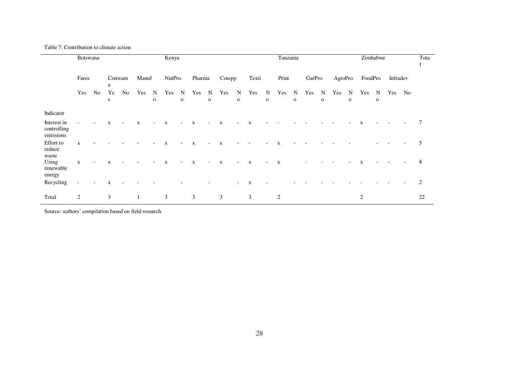Table 7: Contribution to climate action

|                                         | Botswana       |     |             |                          |             |                             | Kenya         |                            |              |                            |              |                            |              |                             |                | Tanzania                   |        |                             |         |                  |                | Zimbabwe          |          |    |    |  |
|-----------------------------------------|----------------|-----|-------------|--------------------------|-------------|-----------------------------|---------------|----------------------------|--------------|----------------------------|--------------|----------------------------|--------------|-----------------------------|----------------|----------------------------|--------|-----------------------------|---------|------------------|----------------|-------------------|----------|----|----|--|
|                                         | Fares          |     | Conwam<br>a |                          | Manuf       |                             | <b>NutPro</b> |                            | Pharma       |                            | Cotepp       |                            |              | Texti                       |                | Print                      | GarPro |                             | AgroPro |                  | FoodPro        |                   | Infradev |    |    |  |
|                                         | Yes            | No. | Ye<br>S     | No.                      | Yes         | $\mathbf N$<br>$\mathbf{o}$ | Yes           | $\mathbf N$<br>$\mathbf 0$ | Yes          | $\mathbf N$<br>$\mathbf 0$ | Yes          | $\mathbf N$<br>$\mathbf 0$ | Yes          | $\mathbf N$<br>$\mathbf{o}$ | Yes            | $\mathbf N$<br>$\mathbf 0$ | Yes    | $\mathbf N$<br>$\mathbf{o}$ | Yes     | N<br>$\mathbf 0$ | Yes            | N<br>$\mathbf{o}$ | Yes      | No |    |  |
| Indicator                               |                |     |             |                          |             |                             |               |                            |              |                            |              |                            |              |                             |                |                            |        |                             |         |                  |                |                   |          |    |    |  |
| Interest in<br>controlling<br>emissions |                |     | $\mathbf X$ | $\overline{\phantom{a}}$ | $\mathbf x$ | $\overline{\phantom{a}}$    | $\mathbf{X}$  | $\overline{\phantom{a}}$   | $\mathbf{X}$ | $\overline{\phantom{a}}$   | $\mathbf{X}$ | $\overline{\phantom{a}}$   | $\mathbf{X}$ |                             |                |                            |        |                             |         |                  | X              |                   |          |    |    |  |
| Effort to<br>reduce<br>waste            | $\mathbf x$    |     |             |                          |             |                             | $\mathbf x$   | $\overline{\phantom{a}}$   | $\mathbf X$  | $\overline{\phantom{0}}$   | $\mathbf x$  |                            |              |                             | $\mathbf{x}$   |                            |        |                             |         |                  |                |                   |          |    | 5  |  |
| Using<br>renewable<br>energy            | X              |     | X           |                          |             |                             | $\mathbf{x}$  | $\overline{\phantom{a}}$   | $\mathbf X$  | $\overline{\phantom{a}}$   | $\mathbf{X}$ | $\overline{a}$             | $\mathbf{X}$ | $\overline{\phantom{a}}$    | $\mathbf X$    |                            |        |                             |         |                  | X              |                   |          |    | 8  |  |
| Recycling                               |                |     | X           |                          |             |                             |               |                            |              |                            |              | $\overline{\phantom{a}}$   | $\mathbf{X}$ |                             |                |                            |        |                             |         |                  |                |                   |          |    | 2  |  |
| Total                                   | $\overline{c}$ |     | 3           |                          |             |                             | 3             |                            | 3            |                            | 3            |                            | 3            |                             | $\overline{c}$ |                            |        |                             |         |                  | $\overline{c}$ |                   |          |    | 22 |  |

Source: authors' compilation based on field research.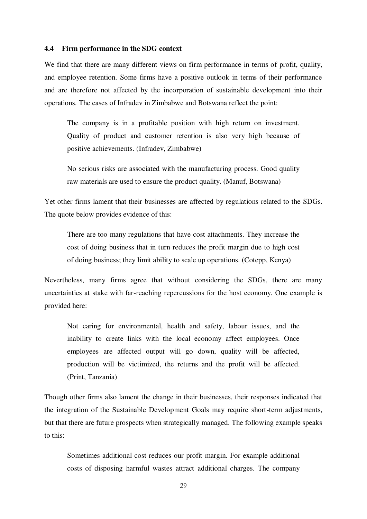#### **4.4 Firm performance in the SDG context**

We find that there are many different views on firm performance in terms of profit, quality, and employee retention. Some firms have a positive outlook in terms of their performance and are therefore not affected by the incorporation of sustainable development into their operations. The cases of Infradev in Zimbabwe and Botswana reflect the point:

The company is in a profitable position with high return on investment. Quality of product and customer retention is also very high because of positive achievements. (Infradev, Zimbabwe)

No serious risks are associated with the manufacturing process. Good quality raw materials are used to ensure the product quality. (Manuf, Botswana)

Yet other firms lament that their businesses are affected by regulations related to the SDGs. The quote below provides evidence of this:

There are too many regulations that have cost attachments. They increase the cost of doing business that in turn reduces the profit margin due to high cost of doing business; they limit ability to scale up operations. (Cotepp, Kenya)

Nevertheless, many firms agree that without considering the SDGs, there are many uncertainties at stake with far-reaching repercussions for the host economy. One example is provided here:

Not caring for environmental, health and safety, labour issues, and the inability to create links with the local economy affect employees. Once employees are affected output will go down, quality will be affected, production will be victimized, the returns and the profit will be affected. (Print, Tanzania)

Though other firms also lament the change in their businesses, their responses indicated that the integration of the Sustainable Development Goals may require short-term adjustments, but that there are future prospects when strategically managed. The following example speaks to this:

Sometimes additional cost reduces our profit margin. For example additional costs of disposing harmful wastes attract additional charges. The company

29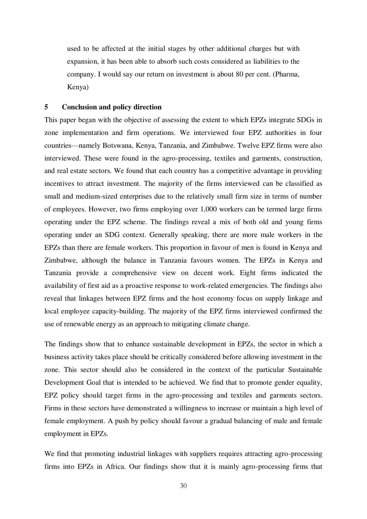used to be affected at the initial stages by other additional charges but with expansion, it has been able to absorb such costs considered as liabilities to the company. I would say our return on investment is about 80 per cent. (Pharma, Kenya)

#### **5 Conclusion and policy direction**

This paper began with the objective of assessing the extent to which EPZs integrate SDGs in zone implementation and firm operations. We interviewed four EPZ authorities in four countries—namely Botswana, Kenya, Tanzania, and Zimbabwe. Twelve EPZ firms were also interviewed. These were found in the agro-processing, textiles and garments, construction, and real estate sectors. We found that each country has a competitive advantage in providing incentives to attract investment. The majority of the firms interviewed can be classified as small and medium-sized enterprises due to the relatively small firm size in terms of number of employees. However, two firms employing over 1,000 workers can be termed large firms operating under the EPZ scheme. The findings reveal a mix of both old and young firms operating under an SDG context. Generally speaking, there are more male workers in the EPZs than there are female workers. This proportion in favour of men is found in Kenya and Zimbabwe, although the balance in Tanzania favours women. The EPZs in Kenya and Tanzania provide a comprehensive view on decent work. Eight firms indicated the availability of first aid as a proactive response to work-related emergencies. The findings also reveal that linkages between EPZ firms and the host economy focus on supply linkage and local employee capacity-building. The majority of the EPZ firms interviewed confirmed the use of renewable energy as an approach to mitigating climate change.

The findings show that to enhance sustainable development in EPZs, the sector in which a business activity takes place should be critically considered before allowing investment in the zone. This sector should also be considered in the context of the particular Sustainable Development Goal that is intended to be achieved. We find that to promote gender equality, EPZ policy should target firms in the agro-processing and textiles and garments sectors. Firms in these sectors have demonstrated a willingness to increase or maintain a high level of female employment. A push by policy should favour a gradual balancing of male and female employment in EPZs.

We find that promoting industrial linkages with suppliers requires attracting agro-processing firms into EPZs in Africa. Our findings show that it is mainly agro-processing firms that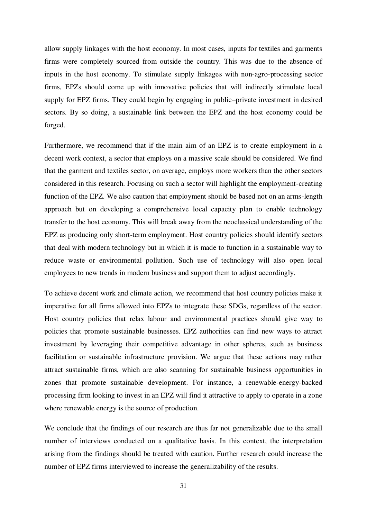allow supply linkages with the host economy. In most cases, inputs for textiles and garments firms were completely sourced from outside the country. This was due to the absence of inputs in the host economy. To stimulate supply linkages with non-agro-processing sector firms, EPZs should come up with innovative policies that will indirectly stimulate local supply for EPZ firms. They could begin by engaging in public–private investment in desired sectors. By so doing, a sustainable link between the EPZ and the host economy could be forged.

Furthermore, we recommend that if the main aim of an EPZ is to create employment in a decent work context, a sector that employs on a massive scale should be considered. We find that the garment and textiles sector, on average, employs more workers than the other sectors considered in this research. Focusing on such a sector will highlight the employment-creating function of the EPZ. We also caution that employment should be based not on an arms-length approach but on developing a comprehensive local capacity plan to enable technology transfer to the host economy. This will break away from the neoclassical understanding of the EPZ as producing only short-term employment. Host country policies should identify sectors that deal with modern technology but in which it is made to function in a sustainable way to reduce waste or environmental pollution. Such use of technology will also open local employees to new trends in modern business and support them to adjust accordingly.

To achieve decent work and climate action, we recommend that host country policies make it imperative for all firms allowed into EPZs to integrate these SDGs, regardless of the sector. Host country policies that relax labour and environmental practices should give way to policies that promote sustainable businesses. EPZ authorities can find new ways to attract investment by leveraging their competitive advantage in other spheres, such as business facilitation or sustainable infrastructure provision. We argue that these actions may rather attract sustainable firms, which are also scanning for sustainable business opportunities in zones that promote sustainable development. For instance, a renewable-energy-backed processing firm looking to invest in an EPZ will find it attractive to apply to operate in a zone where renewable energy is the source of production.

We conclude that the findings of our research are thus far not generalizable due to the small number of interviews conducted on a qualitative basis. In this context, the interpretation arising from the findings should be treated with caution. Further research could increase the number of EPZ firms interviewed to increase the generalizability of the results.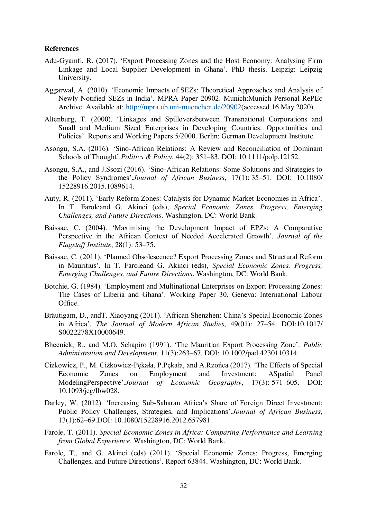#### **References**

- Adu-Gyamfi, R. (2017). 'Export Processing Zones and the Host Economy: Analysing Firm Linkage and Local Supplier Development in Ghana'. PhD thesis. Leipzig: Leipzig University.
- Aggarwal, A. (2010). 'Economic Impacts of SEZs: Theoretical Approaches and Analysis of Newly Notified SEZs in India'. MPRA Paper 20902. Munich:Munich Personal RePEc Archive. Available at: [http://mpra.ub.uni-muenchen.de/20902\(](http://mpra.ub.uni-muenchen.de/20902)accessed 16 May 2020).
- Altenburg, T. (2000). 'Linkages and Spilloversbetween Transnational Corporations and Small and Medium Sized Enterprises in Developing Countries: Opportunities and Policies'. Reports and Working Papers 5/2000. Berlin: German Development Institute.
- Asongu, S.A. (2016). 'Sino-African Relations: A Review and Reconciliation of Dominant Schools of Thought'.*Politics & Policy*, 44(2): 351–83. DOI: 10.1111/polp.12152.
- Asongu, S.A., and J.Ssozi (2016). 'Sino-African Relations: Some Solutions and Strategies to the Policy Syndromes'.*Journal of African Business*, 17(1): 35–51. DOI: 10.1080/ 15228916.2015.1089614.
- Auty, R. (2011). 'Early Reform Zones: Catalysts for Dynamic Market Economies in Africa'. In T. Faroleand G. Akinci (eds), *Special Economic Zones. Progress, Emerging Challenges, and Future Directions*. Washington, DC: World Bank.
- Baissac, C. (2004). 'Maximising the Development Impact of EPZs: A Comparative Perspective in the African Context of Needed Accelerated Growth'. *Journal of the Flagstaff Institute*, 28(1): 53–75.
- Baissac, C. (2011). 'Planned Obsolescence? Export Processing Zones and Structural Reform in Mauritius'. In T. Faroleand G. Akinci (eds), *Special Economic Zones. Progress, Emerging Challenges, and Future Directions*. Washington, DC: World Bank.
- Botchie, G. (1984). 'Employment and Multinational Enterprises on Export Processing Zones: The Cases of Liberia and Ghana'. Working Paper 30. Geneva: International Labour Office.
- Bräutigam, D., andT. Xiaoyang (2011). 'African Shenzhen: China's Special Economic Zones in Africa'. *The Journal of Modern African Studies*, 49(01): 27–54. DOI:10.1017/ S0022278X10000649.
- Bheenick, R., and M.O. Schapiro (1991). 'The Mauritian Export Processing Zone'. *Public Administration and Development*, 11(3):263–67. DOI: 10.1002/pad.4230110314.
- Ciżkowicz, P., M. Ciżkowicz-Pękała, P.Pękała, and A.Rzońca (2017). 'The Effects of Special Economic Zones on Employment and Investment: ASpatial Panel ModelingPerspective'.*Journal of Economic Geography*, 17(3): 571–605. DOI: 10.1093/jeg/lbw028.
- Darley, W. (2012). 'Increasing Sub-Saharan Africa's Share of Foreign Direct Investment: Public Policy Challenges, Strategies, and Implications'.*Journal of African Business*, 13(1):62–69.DOI: 10.1080/15228916.2012.657981.
- Farole, T. (2011). *Special Economic Zones in Africa: Comparing Performance and Learning from Global Experience*. Washington, DC: World Bank.
- Farole, T., and G. Akinci (eds) (2011). 'Special Economic Zones: Progress, Emerging Challenges, and Future Directions'. Report 63844. Washington, DC: World Bank.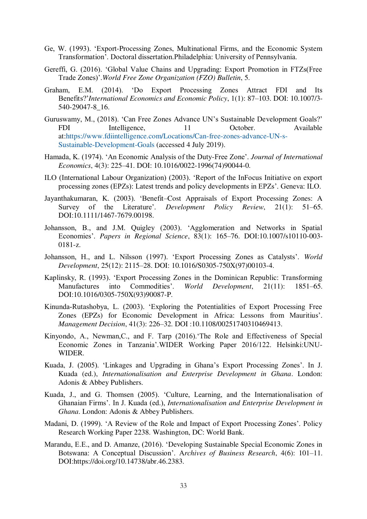- Ge, W. (1993). 'Export-Processing Zones, Multinational Firms, and the Economic System Transformation'. Doctoral dissertation.Philadelphia: University of Pennsylvania.
- Gereffi, G. (2016). 'Global Value Chains and Upgrading: Export Promotion in FTZs(Free Trade Zones)'.*World Free Zone Organization (FZO) Bulletin*, 5.
- Graham, E.M. (2014). 'Do Export Processing Zones Attract FDI and Its Benefits?'*International Economics and Economic Policy*, 1(1): 87–103. DOI: 10.1007/3- 540-29047-8\_16.
- Guruswamy, M., (2018). 'Can Free Zones Advance UN's Sustainable Development Goals?' FDI Intelligence. 11 October. Available at[:https://www.fdiintelligence.com/Locations/Can-free-zones-advance-UN-s-](https://www.fdiintelligence.com/Locations/Can-free-zones-advance-UN-s-Sustainable-Development-Goals)[Sustainable-Development-Goals](https://www.fdiintelligence.com/Locations/Can-free-zones-advance-UN-s-Sustainable-Development-Goals) (accessed 4 July 2019).
- Hamada, K. (1974). 'An Economic Analysis of the Duty-Free Zone'. *Journal of International Economics*, 4(3): 225–41. DOI: 10.1016/0022-1996(74)90044-0.
- ILO (International Labour Organization) (2003). 'Report of the InFocus Initiative on export processing zones (EPZs): Latest trends and policy developments in EPZs'. Geneva: ILO.
- Jayanthakumaran, K. (2003). 'Benefit–Cost Appraisals of Export Processing Zones: A Survey of the Literature'. *Development Policy Review*, 21(1): 51–65. DOI:10.1111/1467-7679.00198.
- Johansson, B., and J.M. Quigley (2003). 'Agglomeration and Networks in Spatial Economies'. *Papers in Regional Science*, 83(1): 165–76. DOI:10.1007/s10110-003- 0181-z.
- Johansson, H., and L. Nilsson (1997). 'Export Processing Zones as Catalysts'. *World Development*, 25(12): 2115–28. DOI: 10.1016/S0305-750X(97)00103-4.
- Kaplinsky, R. (1993). 'Export Processing Zones in the Dominican Republic: Transforming Manufactures into Commodities'. *World Development*, 21(11): 1851–65. DOI:10.1016/0305-750X(93)90087-P.
- Kinunda‐Rutashobya, L. (2003). 'Exploring the Potentialities of Export Processing Free Zones (EPZs) for Economic Development in Africa: Lessons from Mauritius'. *Management Decision*, 41(3): 226–32. DOI :10.1108/00251740310469413.
- Kinyondo, A., Newman,C., and F. Tarp (2016).'The Role and Effectiveness of Special Economic Zones in Tanzania'.WIDER Working Paper 2016/122. Helsinki:UNU-WIDER.
- Kuada, J. (2005). 'Linkages and Upgrading in Ghana's Export Processing Zones'. In J. Kuada (ed.), *Internationalisation and Enterprise Development in Ghana*. London: Adonis & Abbey Publishers.
- Kuada, J., and G. Thomsen (2005). 'Culture, Learning, and the Internationalisation of Ghanaian Firms'. In J. Kuada (ed.), *Internationalisation and Enterprise Development in Ghana*. London: Adonis & Abbey Publishers.
- Madani, D. (1999). 'A Review of the Role and Impact of Export Processing Zones'. Policy Research Working Paper 2238. Washington, DC: World Bank.
- Marandu, E.E., and D. Amanze, (2016). 'Developing Sustainable Special Economic Zones in Botswana: A Conceptual Discussion'. A*rchives of Business Research*, 4(6): 101–11. DOI:https://doi.org/10.14738/abr.46.2383.